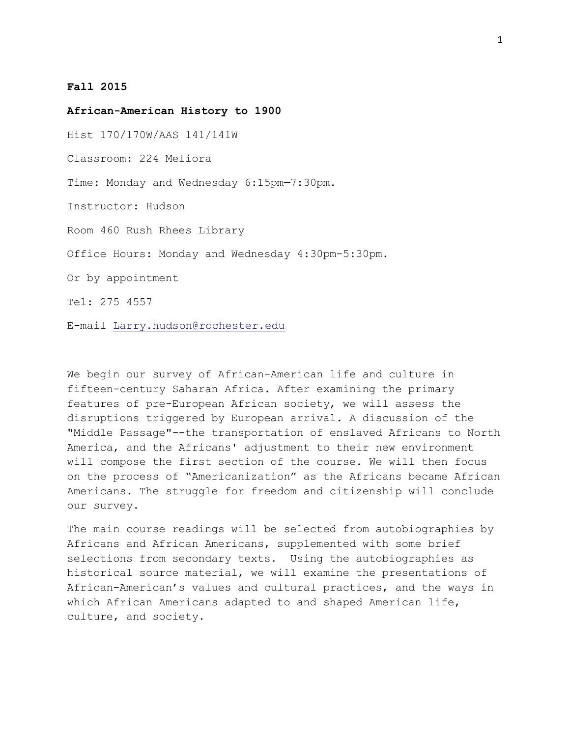## **Fall 2015**

**African-American History to 1900**

Hist 170/170W/AAS 141/141W

Classroom: 224 Meliora

Time: Monday and Wednesday 6:15pm—7:30pm.

Instructor: Hudson

Room 460 Rush Rhees Library

Office Hours: Monday and Wednesday 4:30pm-5:30pm.

Or by appointment

Tel: 275 4557

E-mail Larry.hudson@rochester.edu

We begin our survey of African-American life and culture in fifteen-century Saharan Africa. After examining the primary features of pre-European African society, we will assess the disruptions triggered by European arrival. A discussion of the "Middle Passage"--the transportation of enslaved Africans to North America, and the Africans' adjustment to their new environment will compose the first section of the course. We will then focus on the process of "Americanization" as the Africans became African Americans. The struggle for freedom and citizenship will conclude our survey.

The main course readings will be selected from autobiographies by Africans and African Americans, supplemented with some brief selections from secondary texts. Using the autobiographies as historical source material, we will examine the presentations of African-American's values and cultural practices, and the ways in which African Americans adapted to and shaped American life, culture, and society.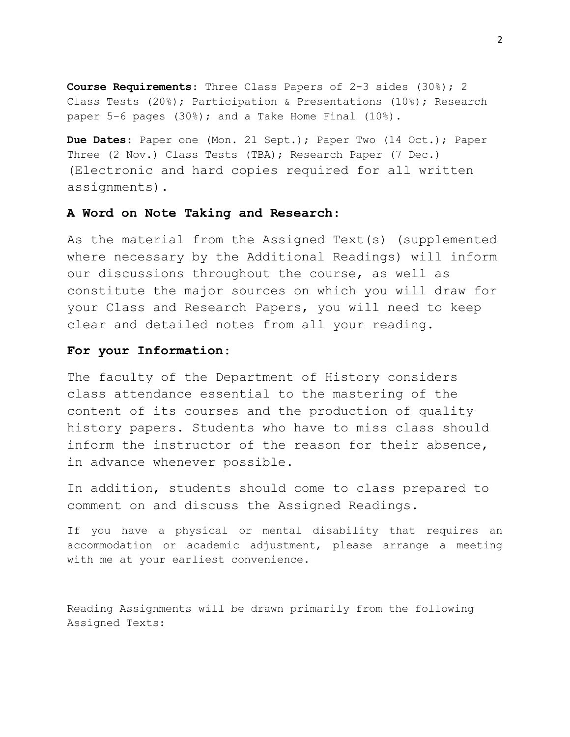**Course Requirements**: Three Class Papers of 2-3 sides (30%); 2 Class Tests (20%); Participation & Presentations (10%); Research paper 5-6 pages (30%); and a Take Home Final (10%).

**Due Dates**: Paper one (Mon. 21 Sept.); Paper Two (14 Oct.); Paper Three (2 Nov.) Class Tests (TBA); Research Paper (7 Dec.) (Electronic and hard copies required for all written assignments).

## **A Word on Note Taking and Research**:

As the material from the Assigned Text(s) (supplemented where necessary by the Additional Readings) will inform our discussions throughout the course, as well as constitute the major sources on which you will draw for your Class and Research Papers, you will need to keep clear and detailed notes from all your reading.

## **For your Information**:

The faculty of the Department of History considers class attendance essential to the mastering of the content of its courses and the production of quality history papers. Students who have to miss class should inform the instructor of the reason for their absence, in advance whenever possible.

In addition, students should come to class prepared to comment on and discuss the Assigned Readings.

If you have a physical or mental disability that requires an accommodation or academic adjustment, please arrange a meeting with me at your earliest convenience.

Reading Assignments will be drawn primarily from the following Assigned Texts: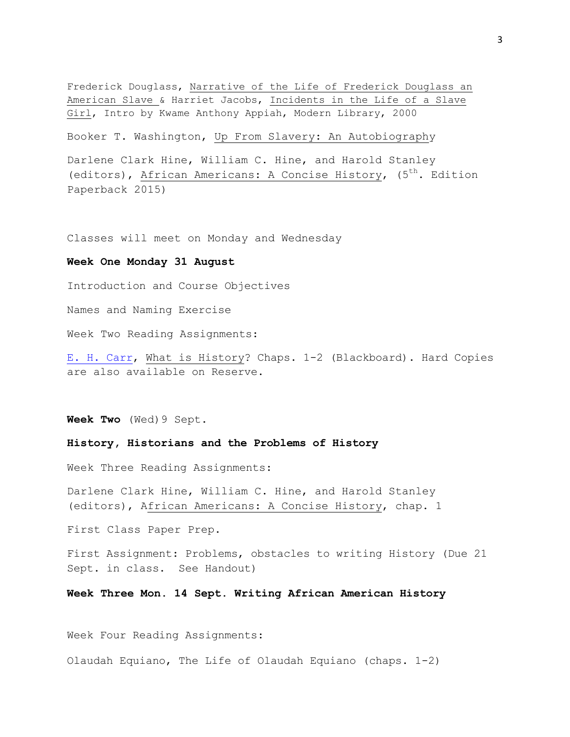Frederick Douglass, Narrative of the Life of Frederick Douglass an American Slave & Harriet Jacobs, Incidents in the Life of a Slave Girl, Intro by Kwame Anthony Appiah, Modern Library, 2000

Booker T. Washington, Up From Slavery: An Autobiography

Darlene Clark Hine, William C. Hine, and Harold Stanley (editors), African Americans: A Concise History, (5<sup>th</sup>. Edition Paperback 2015)

Classes will meet on Monday and Wednesday

#### **Week One Monday 31 August**

Introduction and Course Objectives

Names and Naming Exercise

Week Two Reading Assignments:

[E. H. Carr,](http://www.lib.rochester.edu:82/His/165Hudson/carrwhat.pdf) What is History? Chaps. 1-2 (Blackboard). Hard Copies are also available on Reserve.

**Week Two** (Wed)9 Sept.

#### **History, Historians and the Problems of History**

Week Three Reading Assignments:

Darlene Clark Hine, William C. Hine, and Harold Stanley (editors), African Americans: A Concise History, chap. 1

First Class Paper Prep.

First Assignment: Problems, obstacles to writing History (Due 21 Sept. in class. See Handout)

**Week Three Mon. 14 Sept. Writing African American History**

Week Four Reading Assignments:

Olaudah Equiano, The Life of Olaudah Equiano (chaps. 1-2)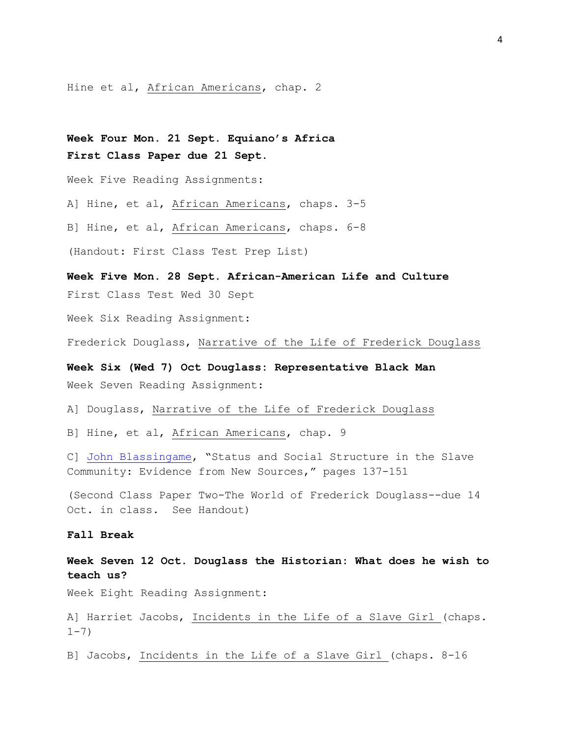Hine et al, African Americans, chap. 2

**Week Four Mon. 21 Sept. Equiano's Africa First Class Paper due 21 Sept.**

Week Five Reading Assignments:

A] Hine, et al, African Americans, chaps. 3-5

B] Hine, et al, African Americans, chaps. 6-8

(Handout: First Class Test Prep List)

**Week Five Mon. 28 Sept. African-American Life and Culture** First Class Test Wed 30 Sept

Week Six Reading Assignment:

Frederick Douglass, Narrative of the Life of Frederick Douglass

**Week Six (Wed 7) Oct Douglass: Representative Black Man** Week Seven Reading Assignment:

A] Douglass, Narrative of the Life of Frederick Douglass

B] Hine, et al, African Americans, chap. 9

C] [John Blassingame](http://library.rochester.edu/resources/eresredirect/reserves.cfm?courseid=2008152862&filename=Blassingame_Status.pdf), "Status and Social Structure in the Slave Community: Evidence from New Sources," pages 137-151

(Second Class Paper Two-The World of Frederick Douglass--due 14 Oct. in class. See Handout)

## **Fall Break**

**Week Seven 12 Oct. Douglass the Historian: What does he wish to teach us?**

Week Eight Reading Assignment:

A] Harriet Jacobs, Incidents in the Life of a Slave Girl (chaps.  $1 - 7)$ 

B] Jacobs, Incidents in the Life of a Slave Girl (chaps. 8-16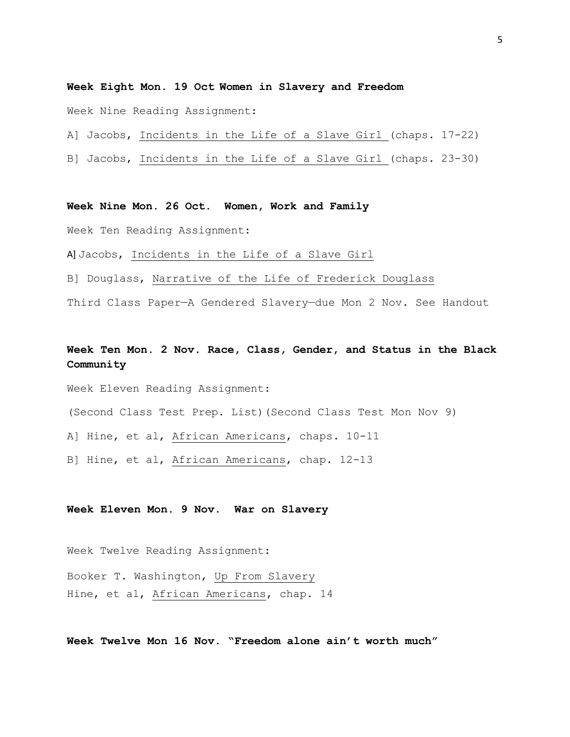### **Week Eight Mon. 19 Oct Women in Slavery and Freedom**

Week Nine Reading Assignment:

A] Jacobs, Incidents in the Life of a Slave Girl (chaps. 17-22)

B] Jacobs, Incidents in the Life of a Slave Girl (chaps. 23-30)

**Week Nine Mon. 26 Oct. Women, Work and Family**

Week Ten Reading Assignment:

A] Jacobs, Incidents in the Life of a Slave Girl

B] Douglass, Narrative of the Life of Frederick Douglass

Third Class Paper—A Gendered Slavery—due Mon 2 Nov. See Handout

# **Week Ten Mon. 2 Nov. Race, Class, Gender, and Status in the Black Community**

Week Eleven Reading Assignment:

(Second Class Test Prep. List)(Second Class Test Mon Nov 9)

A] Hine, et al, African Americans, chaps. 10-11

B] Hine, et al, African Americans, chap. 12-13

### **Week Eleven Mon. 9 Nov**. **War on Slavery**

Week Twelve Reading Assignment:

Booker T. Washington, Up From Slavery Hine, et al, African Americans, chap. 14

**Week Twelve Mon 16 Nov. "Freedom alone ain't worth much"**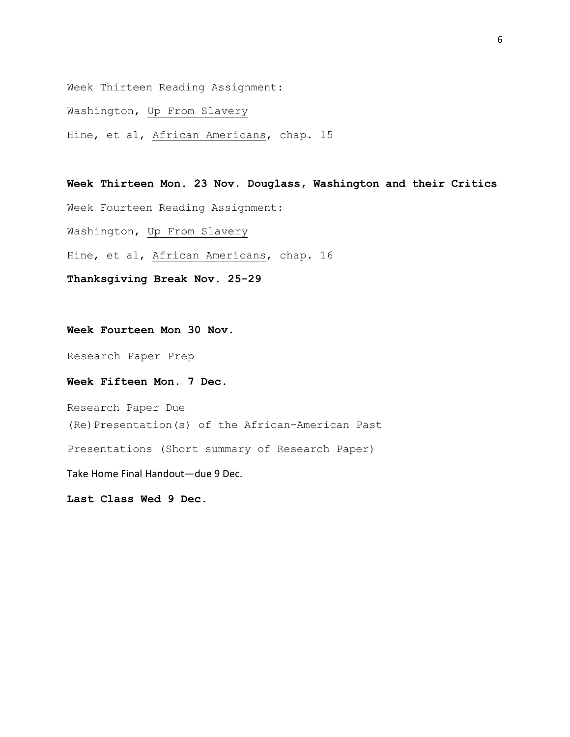Week Thirteen Reading Assignment:

Washington, Up From Slavery

Hine, et al, African Americans, chap. 15

**Week Thirteen Mon. 23 Nov. Douglass, Washington and their Critics** Week Fourteen Reading Assignment: Washington, Up From Slavery Hine, et al, African Americans, chap. 16 **Thanksgiving Break Nov. 25-29**

## **Week Fourteen Mon 30 Nov.**

Research Paper Prep

## **Week Fifteen Mon. 7 Dec.**

Research Paper Due (Re)Presentation(s) of the African-American Past Presentations (Short summary of Research Paper) Take Home Final Handout—due 9 Dec.

**Last Class Wed 9 Dec.**